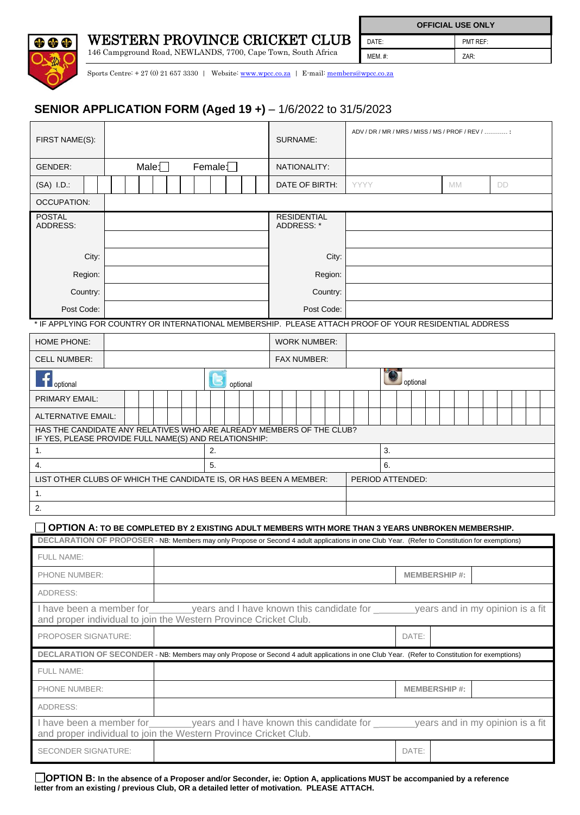

146 Campground Road, NEWLANDS, 7700, Cape Town, South Africa

**OD** OC

 $\mathsf{l}$ 

**OFFICIAL USE ONLY** DATE: PMT REF: MEM. #: ZAR:

Sports Centre: + 27 (0) 21 657 3330 | Website: [www.wpcc.co.za](http://www.wpcc.co.za/) | E-mail: [members@wpcc.co.za](mailto:members@wpcc.co.za)

## **SENIOR APPLICATION FORM (Aged 19 +)** – 1/6/2022 to 31/5/2023

| FIRST NAME(S):                                                                                                                                 |                      |  |                                                                                     |                    | SURNAME:    |                     |       | ADV / DR / MR / MRS / MISS / MS / PROF / REV / |                     |                 |                                  |  |  |  |  |  |  |  |  |
|------------------------------------------------------------------------------------------------------------------------------------------------|----------------------|--|-------------------------------------------------------------------------------------|--------------------|-------------|---------------------|-------|------------------------------------------------|---------------------|-----------------|----------------------------------|--|--|--|--|--|--|--|--|
| GENDER:                                                                                                                                        | Male: $\Box$         |  | NATIONALITY:                                                                        |                    |             |                     |       |                                                |                     |                 |                                  |  |  |  |  |  |  |  |  |
| (SA) I.D.:                                                                                                                                     |                      |  | DATE OF BIRTH:                                                                      |                    | <b>YYYY</b> |                     |       |                                                |                     | <b>MM</b><br>DD |                                  |  |  |  |  |  |  |  |  |
| <b>OCCUPATION:</b>                                                                                                                             |                      |  |                                                                                     |                    |             |                     |       |                                                |                     |                 |                                  |  |  |  |  |  |  |  |  |
| <b>POSTAL</b><br>ADDRESS:                                                                                                                      |                      |  |                                                                                     |                    |             | <b>RESIDENTIAL</b>  |       |                                                |                     |                 |                                  |  |  |  |  |  |  |  |  |
|                                                                                                                                                |                      |  |                                                                                     |                    | ADDRESS: *  |                     |       |                                                |                     |                 |                                  |  |  |  |  |  |  |  |  |
| City:                                                                                                                                          |                      |  |                                                                                     |                    |             |                     | City: |                                                |                     |                 |                                  |  |  |  |  |  |  |  |  |
| Region:                                                                                                                                        |                      |  |                                                                                     |                    |             | Region:             |       |                                                |                     |                 |                                  |  |  |  |  |  |  |  |  |
| Country:                                                                                                                                       |                      |  | Country:                                                                            |                    |             |                     |       |                                                |                     |                 |                                  |  |  |  |  |  |  |  |  |
| Post Code:                                                                                                                                     |                      |  | Post Code:                                                                          |                    |             |                     |       |                                                |                     |                 |                                  |  |  |  |  |  |  |  |  |
| * IF APPLYING FOR COUNTRY OR INTERNATIONAL MEMBERSHIP. PLEASE ATTACH PROOF OF YOUR RESIDENTIAL ADDRESS                                         |                      |  |                                                                                     |                    |             |                     |       |                                                |                     |                 |                                  |  |  |  |  |  |  |  |  |
| HOME PHONE:                                                                                                                                    |                      |  |                                                                                     |                    |             | <b>WORK NUMBER:</b> |       |                                                |                     |                 |                                  |  |  |  |  |  |  |  |  |
| <b>CELL NUMBER:</b>                                                                                                                            |                      |  |                                                                                     | <b>FAX NUMBER:</b> |             |                     |       |                                                |                     |                 |                                  |  |  |  |  |  |  |  |  |
|                                                                                                                                                |                      |  |                                                                                     |                    |             |                     |       |                                                |                     |                 |                                  |  |  |  |  |  |  |  |  |
| optional                                                                                                                                       |                      |  |                                                                                     | optional           |             |                     |       |                                                |                     |                 | optional                         |  |  |  |  |  |  |  |  |
| PRIMARY EMAIL:                                                                                                                                 |                      |  |                                                                                     |                    |             |                     |       |                                                |                     |                 |                                  |  |  |  |  |  |  |  |  |
| <b>ALTERNATIVE EMAIL:</b><br>HAS THE CANDIDATE ANY RELATIVES WHO ARE ALREADY MEMBERS OF THE CLUB?                                              |                      |  |                                                                                     |                    |             |                     |       |                                                |                     |                 |                                  |  |  |  |  |  |  |  |  |
| IF YES, PLEASE PROVIDE FULL NAME(S) AND RELATIONSHIP:                                                                                          |                      |  |                                                                                     |                    |             |                     |       |                                                |                     |                 |                                  |  |  |  |  |  |  |  |  |
| 1.<br>4.                                                                                                                                       | 2.<br>3.<br>5.<br>6. |  |                                                                                     |                    |             |                     |       |                                                |                     |                 |                                  |  |  |  |  |  |  |  |  |
| LIST OTHER CLUBS OF WHICH THE CANDIDATE IS, OR HAS BEEN A MEMBER:                                                                              |                      |  |                                                                                     | PERIOD ATTENDED:   |             |                     |       |                                                |                     |                 |                                  |  |  |  |  |  |  |  |  |
| 1.                                                                                                                                             |                      |  |                                                                                     |                    |             |                     |       |                                                |                     |                 |                                  |  |  |  |  |  |  |  |  |
| 2.                                                                                                                                             |                      |  |                                                                                     |                    |             |                     |       |                                                |                     |                 |                                  |  |  |  |  |  |  |  |  |
| OPTION A: TO BE COMPLETED BY 2 EXISTING ADULT MEMBERS WITH MORE THAN 3 YEARS UNBROKEN MEMBERSHIP.                                              |                      |  |                                                                                     |                    |             |                     |       |                                                |                     |                 |                                  |  |  |  |  |  |  |  |  |
| DECLARATION OF PROPOSER - NB: Members may only Propose or Second 4 adult applications in one Club Year. (Refer to Constitution for exemptions) |                      |  |                                                                                     |                    |             |                     |       |                                                |                     |                 |                                  |  |  |  |  |  |  |  |  |
| <b>FULL NAME:</b>                                                                                                                              |                      |  |                                                                                     |                    |             |                     |       |                                                |                     |                 |                                  |  |  |  |  |  |  |  |  |
| PHONE NUMBER:                                                                                                                                  |                      |  |                                                                                     |                    |             |                     |       |                                                | <b>MEMBERSHIP#:</b> |                 |                                  |  |  |  |  |  |  |  |  |
| ADDRESS:                                                                                                                                       |                      |  |                                                                                     |                    |             |                     |       |                                                |                     |                 |                                  |  |  |  |  |  |  |  |  |
| I have been a member for                                                                                                                       |                      |  | years and I have known this candidate for                                           |                    |             |                     |       |                                                |                     |                 | years and in my opinion is a fit |  |  |  |  |  |  |  |  |
| and proper individual to join the Western Province Cricket Club.                                                                               |                      |  |                                                                                     |                    |             |                     |       |                                                |                     |                 |                                  |  |  |  |  |  |  |  |  |
| PROPOSER SIGNATURE:                                                                                                                            |                      |  |                                                                                     |                    |             |                     |       |                                                |                     |                 | DATE:                            |  |  |  |  |  |  |  |  |
| DECLARATION OF SECONDER - NB: Members may only Propose or Second 4 adult applications in one Club Year. (Refer to Constitution for exemptions) |                      |  |                                                                                     |                    |             |                     |       |                                                |                     |                 |                                  |  |  |  |  |  |  |  |  |
| <b>FULL NAME:</b>                                                                                                                              |                      |  |                                                                                     |                    |             |                     |       |                                                |                     |                 |                                  |  |  |  |  |  |  |  |  |
| PHONE NUMBER:                                                                                                                                  |                      |  |                                                                                     |                    |             |                     |       |                                                |                     |                 | <b>MEMBERSHIP#:</b>              |  |  |  |  |  |  |  |  |
| ADDRESS:                                                                                                                                       |                      |  |                                                                                     |                    |             |                     |       |                                                |                     |                 |                                  |  |  |  |  |  |  |  |  |
| I have been a member for<br>and proper individual to join the Western Province Cricket Club.                                                   |                      |  | years and I have known this candidate for ________ years and in my opinion is a fit |                    |             |                     |       |                                                |                     |                 |                                  |  |  |  |  |  |  |  |  |

**OPTION B: In the absence of a Proposer and/or Seconder, ie: Option A, applications MUST be accompanied by a reference letter from an existing / previous Club, OR a detailed letter of motivation. PLEASE ATTACH.**

SECONDER SIGNATURE:  $\blacksquare$